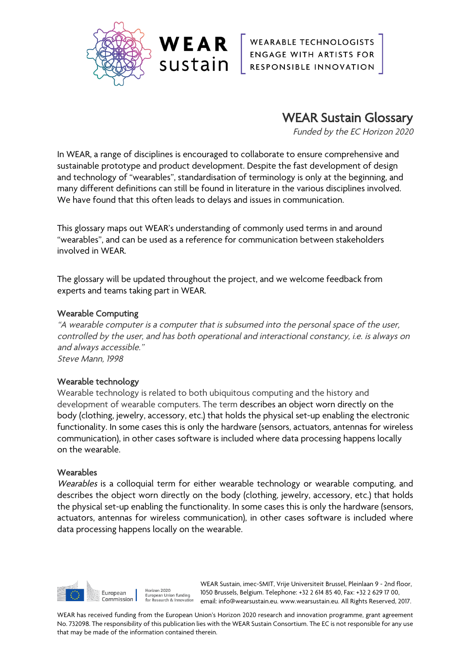

WEAR ENGABLE TECHNOLOGISTS

WEAR Sustain Glossary

Funded by the EC Horizon 2020

In WEAR, a range of disciplines is encouraged to collaborate to ensure comprehensive and sustainable prototype and product development. Despite the fast development of design and technology of "wearables", standardisation of terminology is only at the beginning, and many different definitions can still be found in literature in the various disciplines involved. We have found that this often leads to delays and issues in communication.

This glossary maps out WEAR's understanding of commonly used terms in and around "wearables", and can be used as a reference for communication between stakeholders involved in WEAR.

The glossary will be updated throughout the project, and we welcome feedback from experts and teams taking part in WEAR.

## Wearable Computing

"A wearable computer is a computer that is subsumed into the personal space of the user, controlled by the user, and has both operational and interactional constancy, i.e. is always on and always accessible." Steve Mann, 1998

## Wearable technology

Wearable technology is related to both ubiquitous computing and the history and development of wearable computers. The term describes an object worn directly on the body (clothing, jewelry, accessory, etc.) that holds the physical set-up enabling the electronic functionality. In some cases this is only the hardware (sensors, actuators, antennas for wireless communication), in other cases software is included where data processing happens locally on the wearable.

## **Wearables**

Wearables is a colloquial term for either wearable technology or wearable computing, and describes the object worn directly on the body (clothing, jewelry, accessory, etc.) that holds the physical set-up enabling the functionality. In some cases this is only the hardware (sensors, actuators, antennas for wireless communication), in other cases software is included where data processing happens locally on the wearable.



WEAR Sustain, imec-SMIT, Vrije Universiteit Brussel, Pleinlaan 9 - 2nd floor, 1050 Brussels, Belgium. Telephone: +32 2 614 85 40, Fax: +32 2 629 17 00, email: info@wearsustain.eu. www.wearsustain.eu. All Rights Reserved, 2017.

WEAR has received funding from the European Union's Horizon 2020 research and innovation programme, grant agreement No. 732098. The responsibility of this publication lies with the WEAR Sustain Consortium. The EC is not responsible for any use that may be made of the information contained therein.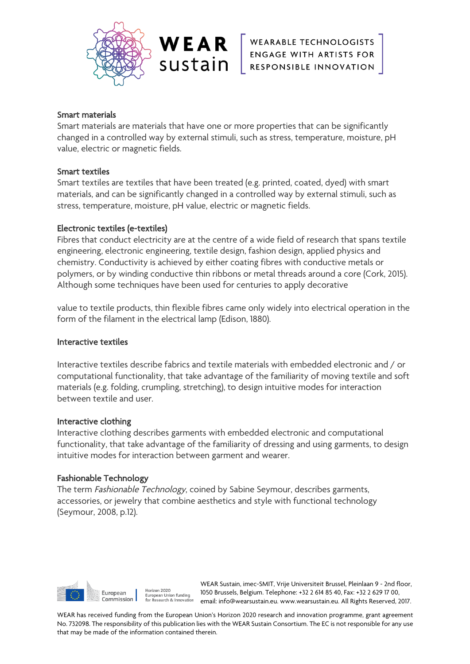

WEAR ENGAGE WITH ARTISTS FOR SUSTAIN ENGAGE WITH ARTISTS FOR

# Smart materials

Smart materials are materials that have one or more properties that can be significantly changed in a controlled way by external stimuli, such as stress, temperature, moisture, pH value, electric or magnetic fields.

## Smart textiles

Smart textiles are textiles that have been treated (e.g. printed, coated, dyed) with smart materials, and can be significantly changed in a controlled way by external stimuli, such as stress, temperature, moisture, pH value, electric or magnetic fields.

# Electronic textiles (e-textiles)

Fibres that conduct electricity are at the centre of a wide field of research that spans textile engineering, electronic engineering, textile design, fashion design, applied physics and chemistry. Conductivity is achieved by either coating fibres with conductive metals or polymers, or by winding conductive thin ribbons or metal threads around a core (Cork, 2015). Although some techniques have been used for centuries to apply decorative

value to textile products, thin flexible fibres came only widely into electrical operation in the form of the filament in the electrical lamp (Edison, 1880).

## Interactive textiles

Interactive textiles describe fabrics and textile materials with embedded electronic and / or computational functionality, that take advantage of the familiarity of moving textile and soft materials (e.g. folding, crumpling, stretching), to design intuitive modes for interaction between textile and user.

## Interactive clothing

Interactive clothing describes garments with embedded electronic and computational functionality, that take advantage of the familiarity of dressing and using garments, to design intuitive modes for interaction between garment and wearer.

## Fashionable Technology

The term Fashionable Technology, coined by Sabine Seymour, describes garments, accessories, or jewelry that combine aesthetics and style with functional technology (Seymour, 2008, p.12).



WEAR Sustain, imec-SMIT, Vrije Universiteit Brussel, Pleinlaan 9 - 2nd floor, 1050 Brussels, Belgium. Telephone: +32 2 614 85 40, Fax: +32 2 629 17 00, email: info@wearsustain.eu. www.wearsustain.eu. All Rights Reserved, 2017.

WEAR has received funding from the European Union's Horizon 2020 research and innovation programme, grant agreement No. 732098. The responsibility of this publication lies with the WEAR Sustain Consortium. The EC is not responsible for any use that may be made of the information contained therein.